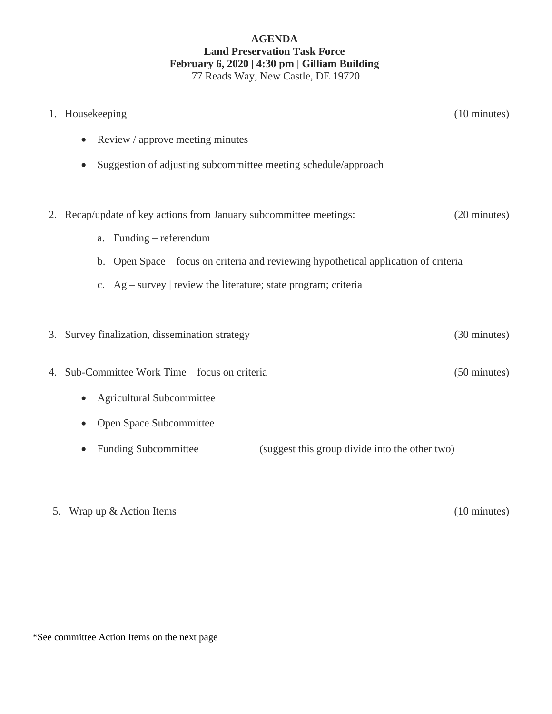# **AGENDA Land Preservation Task Force February 6, 2020 | 4:30 pm | Gilliam Building** 77 Reads Way, New Castle, DE 19720

|    | 1. Housekeeping                                                                      | $(10 \text{ minutes})$ |
|----|--------------------------------------------------------------------------------------|------------------------|
|    | Review / approve meeting minutes<br>$\bullet$                                        |                        |
|    | Suggestion of adjusting subcommittee meeting schedule/approach                       |                        |
|    |                                                                                      |                        |
| 2. | Recap/update of key actions from January subcommittee meetings:                      | (20 minutes)           |
|    | Funding – referendum<br>a.                                                           |                        |
|    | b. Open Space – focus on criteria and reviewing hypothetical application of criteria |                        |
|    | c. $Ag - survey$   review the literature; state program; criteria                    |                        |
|    |                                                                                      |                        |
| 3. | Survey finalization, dissemination strategy                                          | (30 minutes)           |
|    |                                                                                      |                        |
| 4. | Sub-Committee Work Time-focus on criteria                                            | (50 minutes)           |
|    | <b>Agricultural Subcommittee</b>                                                     |                        |
|    | Open Space Subcommittee                                                              |                        |
|    | <b>Funding Subcommittee</b><br>(suggest this group divide into the other two)        |                        |
|    |                                                                                      |                        |

5. Wrap up & Action Items (10 minutes)

\*See committee Action Items on the next page